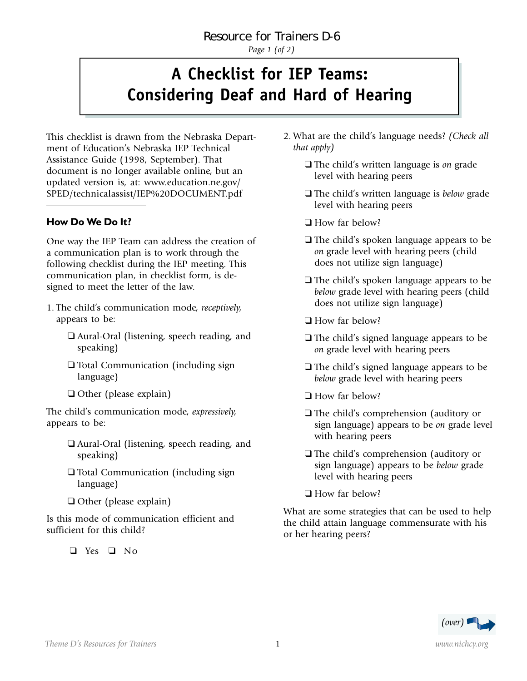*Page 1 (of 2)*

## **A Checklist for IEP Teams: Considering Deaf and Hard of Hearing**

This checklist is drawn from the Nebraska Department of Education's Nebraska IEP Technical Assistance Guide (1998, September). That document is no longer available online, but an updated version is, at: www.education.ne.gov/ SPED/technicalassist/IEP%20DOCUMENT.pdf

## **How Do We Do It?**

One way the IEP Team can address the creation of a communication plan is to work through the following checklist during the IEP meeting. This communication plan, in checklist form, is designed to meet the letter of the law.

- 1. The child's communication mode, *receptively,* appears to be:
	- ❑ Aural-Oral (listening, speech reading, and speaking)
	- ❑ Total Communication (including sign language)
	- ❑ Other (please explain)

The child's communication mode, *expressively,* appears to be:

- ❑ Aural-Oral (listening, speech reading, and speaking)
- ❑ Total Communication (including sign language)
- ❑ Other (please explain)

Is this mode of communication efficient and sufficient for this child?

❑ Yes ❑ No

- 2. What are the child's language needs? *(Check all that apply)*
	- ❑ The child's written language is *on* grade level with hearing peers
	- ❑ The child's written language is *below* grade level with hearing peers
	- ❑ How far below?
	- ❑ The child's spoken language appears to be *on* grade level with hearing peers (child does not utilize sign language)
	- ❑ The child's spoken language appears to be *below* grade level with hearing peers (child does not utilize sign language)
	- ❑ How far below?
	- ❑ The child's signed language appears to be *on* grade level with hearing peers
	- ❑ The child's signed language appears to be *below* grade level with hearing peers
	- ❑ How far below?
	- ❑ The child's comprehension (auditory or sign language) appears to be *on* grade level with hearing peers
	- ❑ The child's comprehension (auditory or sign language) appears to be *below* grade level with hearing peers
	- ❑ How far below?

What are some strategies that can be used to help the child attain language commensurate with his or her hearing peers?